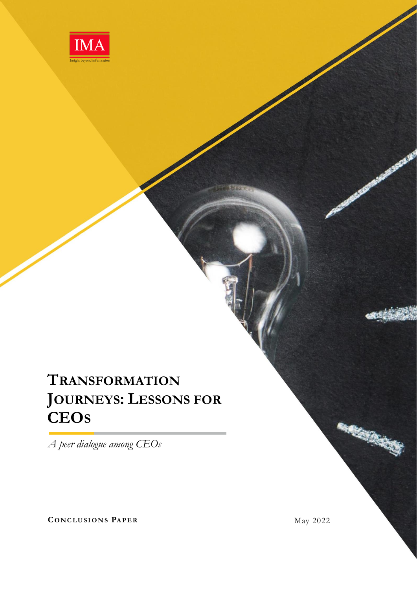

# **TRANSFORMATION JOURNEYS: LESSONS FOR CEOS**

*A peer dialogue among CEOs*

**CONCLUSIONS PAPER** May 2022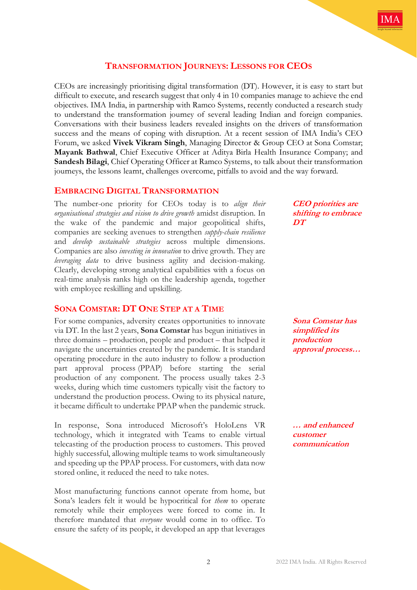## **TRANSFORMATION JOURNEYS: LESSONS FOR CEOS**

CEOs are increasingly prioritising digital transformation (DT). However, it is easy to start but difficult to execute, and research suggest that only 4 in 10 companies manage to achieve the end objectives. IMA India, in partnership with Ramco Systems, recently conducted a research study to understand the transformation journey of several leading Indian and foreign companies. Conversations with their business leaders revealed insights on the drivers of transformation success and the means of coping with disruption. At a recent session of IMA India's CEO Forum, we asked **Vivek Vikram Singh**, Managing Director & Group CEO at Sona Comstar; **Mayank Bathwal**, Chief Executive Officer at Aditya Birla Health Insurance Company; and **Sandesh Bilagi**, Chief Operating Officer at Ramco Systems, to talk about their transformation journeys, the lessons learnt, challenges overcome, pitfalls to avoid and the way forward.

## **EMBRACING DIGITAL TRANSFORMATION**

The number-one priority for CEOs today is to *align their organisational strategies and vision to drive growth* amidst disruption. In the wake of the pandemic and major geopolitical shifts, companies are seeking avenues to strengthen *supply-chain resilience* and *develop sustainable strategies* across multiple dimensions. Companies are also *investing in innovation* to drive growth. They are *leveraging data* to drive business agility and decision-making. Clearly, developing strong analytical capabilities with a focus on real-time analysis ranks high on the leadership agenda, together with employee reskilling and upskilling.

## **SONA COMSTAR: DT ONE STEP AT A TIME**

For some companies, adversity creates opportunities to innovate via DT. In the last 2 years, **Sona Comstar** has begun initiatives in three domains – production, people and product – that helped it navigate the uncertainties created by the pandemic. It is standard operating procedure in the auto industry to follow a production part approval process (PPAP) before starting the serial production of any component. The process usually takes 2-3 weeks, during which time customers typically visit the factory to understand the production process. Owing to its physical nature, it became difficult to undertake PPAP when the pandemic struck.

In response, Sona introduced Microsoft's HoloLens VR technology, which it integrated with Teams to enable virtual telecasting of the production process to customers. This proved highly successful, allowing multiple teams to work simultaneously and speeding up the PPAP process. For customers, with data now stored online, it reduced the need to take notes.

Most manufacturing functions cannot operate from home, but Sona's leaders felt it would be hypocritical for *them* to operate remotely while their employees were forced to come in. It therefore mandated that *everyone* would come in to office. To ensure the safety of its people, it developed an app that leverages

**CEO priorities are shifting to embrace DT**

**Sona Comstar has simplified its production approval process…**

**… and enhanced customer communication**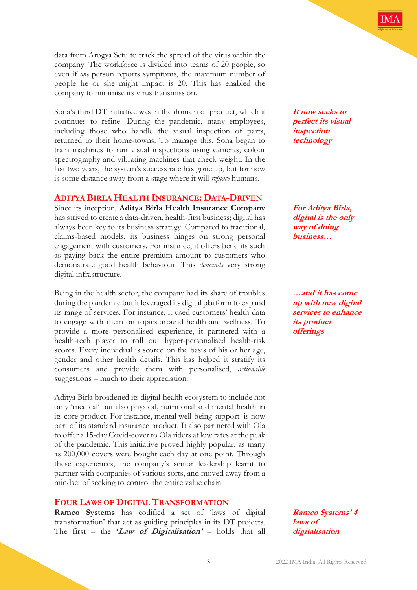data from Arogya Setu to track the spread of the virus within the company. The workforce is divided into teams of 20 people, so even if *one* person reports symptoms, the maximum number of people he or she might impact is 20. This has enabled the company to minimise its virus transmission.

Sona's third DT initiative was in the domain of product, which it continues to refine. During the pandemic, many employees, including those who handle the visual inspection of parts, returned to their home-towns. To manage this, Sona began to train machines to run visual inspections using cameras, colour spectrography and vibrating machines that check weight. In the last two years, the system's success rate has gone up, but for now is some distance away from a stage where it will *replace* humans.

### **ADITYA BIRLA HEALTH INSURANCE: DATA-DRIVEN**

Since its inception, **Aditya Birla Health Insurance Company** has strived to create a data-driven, health-first business; digital has always been key to its business strategy. Compared to traditional, claims-based models, its business hinges on strong personal engagement with customers. For instance, it offers benefits such as paying back the entire premium amount to customers who demonstrate good health behaviour. This *demands* very strong digital infrastructure.

Being in the health sector, the company had its share of troubles during the pandemic but it leveraged its digital platform to expand its range of services. For instance, it used customers' health data to engage with them on topics around health and wellness. To provide a more personalised experience, it partnered with a health-tech player to roll out hyper-personalised health-risk scores. Every individual is scored on the basis of his or her age, gender and other health details. This has helped it stratify its consumers and provide them with personalised, *actionable* suggestions – much to their appreciation.

Aditya Birla broadened its digital-health ecosystem to include not only 'medical' but also physical, nutritional and mental health in its core product. For instance, mental well-being support is now part of its standard insurance product. It also partnered with Ola to offer a 15-day Covid-cover to Ola riders at low rates at the peak of the pandemic. This initiative proved highly popular: as many as 200,000 covers were bought each day at one point. Through these experiences, the company's senior leadership learnt to partner with companies of various sorts, and moved away from a mindset of seeking to control the entire value chain.

## **FOUR LAWS OF DIGITAL TRANSFORMATION**

**Ramco Systems** has codified a set of 'laws of digital transformation' that act as guiding principles in its DT projects. The first – the **'Law of Digitalisation'** – holds that all

**It now seeks to perfect its visual inspection technology**

**For Aditya Birla, digital is the only way of doing business…**

**…and it has come up with new digital services to enhance its product offerings**

**Ramco Systems' 4 laws of digitalisation**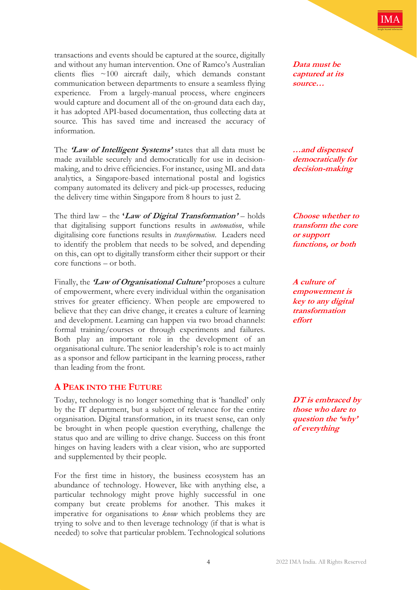

transactions and events should be captured at the source, digitally and without any human intervention. One of Ramco's Australian clients flies ~100 aircraft daily, which demands constant communication between departments to ensure a seamless flying experience. From a largely-manual process, where engineers would capture and document all of the on-ground data each day, it has adopted API-based documentation, thus collecting data at source. This has saved time and increased the accuracy of information.

The **'Law of Intelligent Systems'** states that all data must be made available securely and democratically for use in decisionmaking, and to drive efficiencies. For instance, using ML and data analytics, a Singapore-based international postal and logistics company automated its delivery and pick-up processes, reducing the delivery time within Singapore from 8 hours to just 2.

The third law – the **'Law of Digital Transformation'** – holds that digitalising support functions results in *automation*, while digitalising core functions results in *transformation*. Leaders need to identify the problem that needs to be solved, and depending on this, can opt to digitally transform either their support or their core functions – or both.

Finally, the **'Law of Organisational Culture'** proposes a culture of empowerment, where every individual within the organisation strives for greater efficiency. When people are empowered to believe that they can drive change, it creates a culture of learning and development. Learning can happen via two broad channels: formal training/courses or through experiments and failures. Both play an important role in the development of an organisational culture. The senior leadership's role is to act mainly as a sponsor and fellow participant in the learning process, rather than leading from the front.

### **A PEAK INTO THE FUTURE**

Today, technology is no longer something that is 'handled' only by the IT department, but a subject of relevance for the entire organisation. Digital transformation, in its truest sense, can only be brought in when people question everything, challenge the status quo and are willing to drive change. Success on this front hinges on having leaders with a clear vision, who are supported and supplemented by their people.

For the first time in history, the business ecosystem has an abundance of technology. However, like with anything else, a particular technology might prove highly successful in one company but create problems for another. This makes it imperative for organisations to *know* which problems they are trying to solve and to then leverage technology (if that is what is needed) to solve that particular problem. Technological solutions

**Data must be captured at its source…**

**…and dispensed democratically for decision-making**

**Choose whether to transform the core or support functions, or both**

**A culture of empowerment is key to any digital transformation effort**

**DT is embraced by those who dare to question the 'why' of everything**